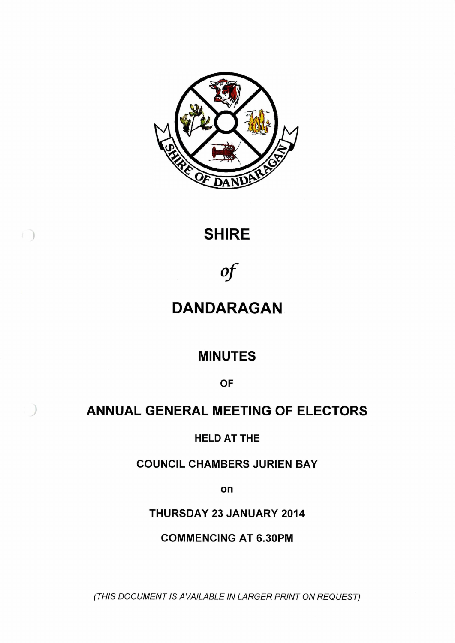

## **SHIRE**

 $\left( \begin{array}{c} \end{array} \right)$ 

 $\int$ 

# **DANDARAGAN**

## **MINUTES**

**OF**

## **ANNUAL GENERAL MEETING OF ELECTORS**

**HELD AT THE**

**COUNCIL CHAMBERS JURIEN BAY**

**on**

**THURSDAY 23 JANUARY 2014**

**COMMENCING AT 6.30PM**

*(THIS DOCUMENT IS AVAILABLE IN LARGER PRINT ON REQUEST)*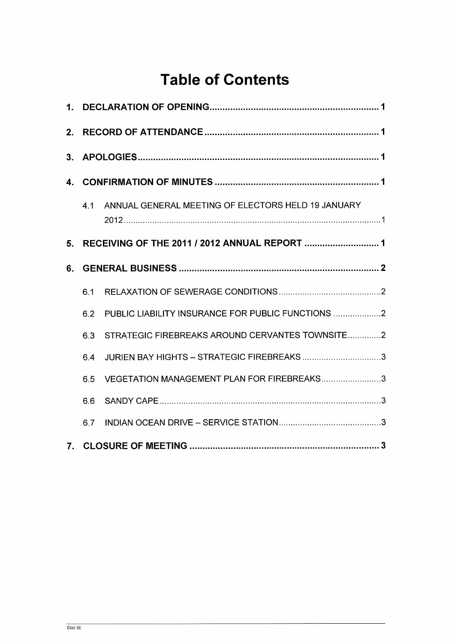# **Table of Contents**

| 3. |     |                                                    |  |
|----|-----|----------------------------------------------------|--|
|    |     |                                                    |  |
|    | 41  | ANNUAL GENERAL MEETING OF ELECTORS HELD 19 JANUARY |  |
| 5. |     |                                                    |  |
| 6. |     |                                                    |  |
|    | 6.1 |                                                    |  |
|    | 6.2 | PUBLIC LIABILITY INSURANCE FOR PUBLIC FUNCTIONS 2  |  |
|    | 6.3 | STRATEGIC FIREBREAKS AROUND CERVANTES TOWNSITE2    |  |
|    | 6.4 |                                                    |  |
|    | 6.5 | VEGETATION MANAGEMENT PLAN FOR FIREBREAKS3         |  |
|    | 6.6 |                                                    |  |
|    | 6.7 |                                                    |  |
|    |     |                                                    |  |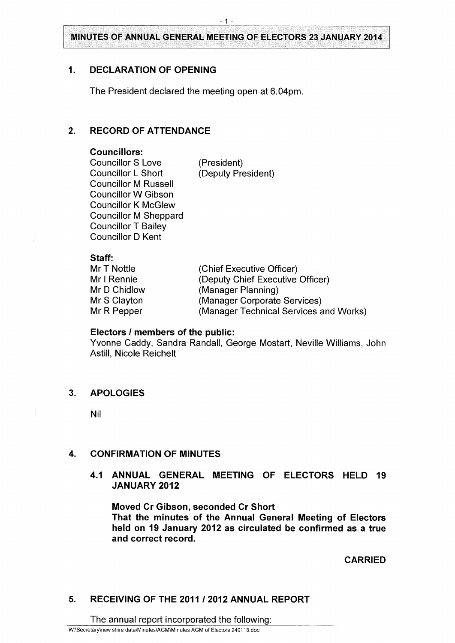## <span id="page-2-0"></span>**1. DECLARATION OF OPENING**

The President declared the meeting open at 6.04pm.

## <span id="page-2-1"></span>**2. RECORD OF ATTENDANCE**

#### **Councillors:**

Councillor S Love (President)<br>
Councillor L Short (Deputy Pre Councillor M Russell Councillor W Gibson Councillor K McGlew Councillor M Sheppard Councillor T Bailey Councillor D Kent

(Deputy President)

## **Staff:**

| Mr T Nottle  | (Chief Executive Officer)              |
|--------------|----------------------------------------|
| Mr I Rennie  | (Deputy Chief Executive Officer)       |
| Mr D Chidlow | (Manager Planning)                     |
| Mr S Clayton | (Manager Corporate Services)           |
| Mr R Pepper  | (Manager Technical Services and Works) |

#### **Electors / members of the public:**

Yvonne Caddy, Sandra Randall, George Mostart, Neville Williams, John Astill, Nicole Reichelt

### <span id="page-2-2"></span>**3. APOLOGIES**

Nil

## <span id="page-2-3"></span>**4. CONFIRMATION OF MINUTES**

**4.1 ANNUAL GENERAL MEETING OF ELECTORS HELD 19 JANUARY 2012**

**Moved Cr Gibson, seconded Cr Short That the minutes of the Annual General Meeting of Electors held on 19 January 2012 as circulated be confirmed as a true and correct record.**

**CARRIED**

## <span id="page-2-4"></span>**5. RECEIVING OF THE 2011 / 2012 ANNUAL REPORT**

The annual report incorporated the following: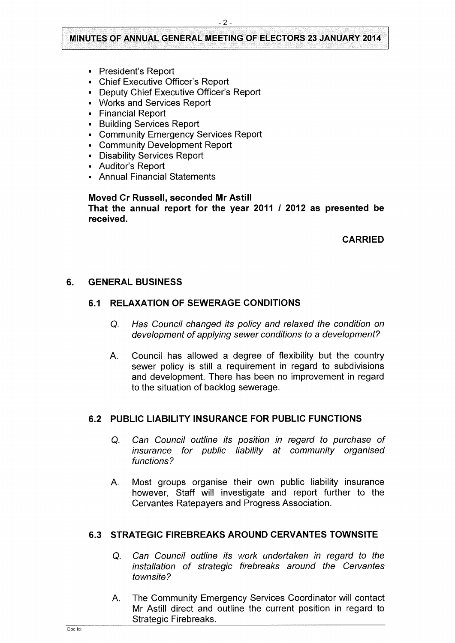- President's Report
- Chief Executive Officer's Report
- Deputy Chief Executive Officer's Report
- Works and Services Report
- Financial Report
- Building Services Report
- Community Emergency Services Report
- Community Development Report
- Disability Services Report
- <sup>&</sup>gt; Auditor's Report
- Annual Financial Statements

## **Moved Cr Russell, seconded Mr Astill That the annual report for the year 2011 / 2012 as presented be received.**

**CARRIED**

## <span id="page-3-1"></span><span id="page-3-0"></span>**6. GENERAL BUSINESS**

## **6.1 RELAXATION OF SEWERAGE CONDITIONS**

- Q. *Has Council changed its policy and relaxed the condition on development of applying sewer conditions to a development?*
- A. Council has allowed a degree of flexibility but the country sewer policy is still a requirement in regard to subdivisions and development. There has been no improvement in regard to the situation of backlog sewerage.

### <span id="page-3-2"></span>**6.2 PUBLIC LIABILITY INSURANCE FOR PUBLIC FUNCTIONS**

- Q. *Can Council outline its position in regard to purchase of insurance for public liability at community organised functions?*
- A. Most groups organise their own public liability insurance however, Staff will investigate and report further to the Cervantes Ratepayers and Progress Association.

## <span id="page-3-3"></span>**6.3 STRATEGIC FIREBREAKS AROUND CERVANTES TOWNSITE**

- Q. *Can Council outline its work undertaken in regard to the installation of strategic firebreaks around the Cervantes townsite?*
- A. The Community Emergency Services Coordinator will contact Mr Astill direct and outline the current position in regard to Strategic Firebreaks.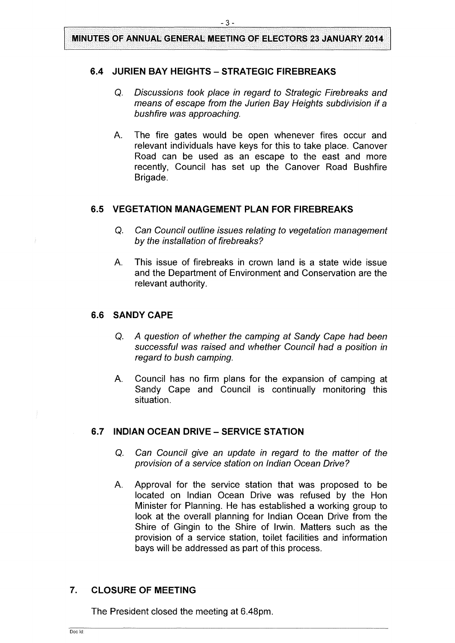## <span id="page-4-0"></span>**6.4 JURIEN BAY HEIGHTS - STRATEGIC FIREBREAKS**

- Q. *Discussions took place in regard to Strategic Firebreaks and means of escape from the Jurien Bay Heights subdivision if a bushfire* was *approaching.*
- A. The fire gates would be open whenever fires occur and relevant individuals have keys for this to take place. Canover Road can be used as an escape to the east and more recently, Council has set up the Canover Road Bushfire Brigade.

#### <span id="page-4-1"></span>**6.5 VEGETATION MANAGEMENT PLAN FOR FIREBREAKS**

- Q. *Can Council outline issues relating to vegetation management by the installation of firebreaks?*
- A. This issue of firebreaks in crown land is a state wide issue and the Department of Environment and Conservation are the relevant authority.

#### <span id="page-4-2"></span>**6.6 SANDY CAPE**

- Q. *A question of whether the camping at Sandy Cape had been successful* was *raised and whether Council had a position in regard to bush camping.*
- A. Council has no firm plans for the expansion of camping at Sandy Cape and Council is continually monitoring this situation.

## <span id="page-4-3"></span>**6.7 INDIAN OCEAN DRIVE - SERVICE STATION**

- Q. *Can Council give an update in regard to the matter of the provision of a service station on Indian Ocean Drive?*
- A. Approval for the service station that was proposed to be located on Indian Ocean Drive was refused by the Hon Minister for Planning. He has established a working group to look at the overall planning for Indian Ocean Drive from the Shire of Gingin to the Shire of Irwin. Matters such as the provision of a service station, toilet facilities and information bays will be addressed as part of this process.

## <span id="page-4-4"></span>**7. CLOSURE OF MEETING**

The President closed the meeting at 6.48pm.

Doc Id: